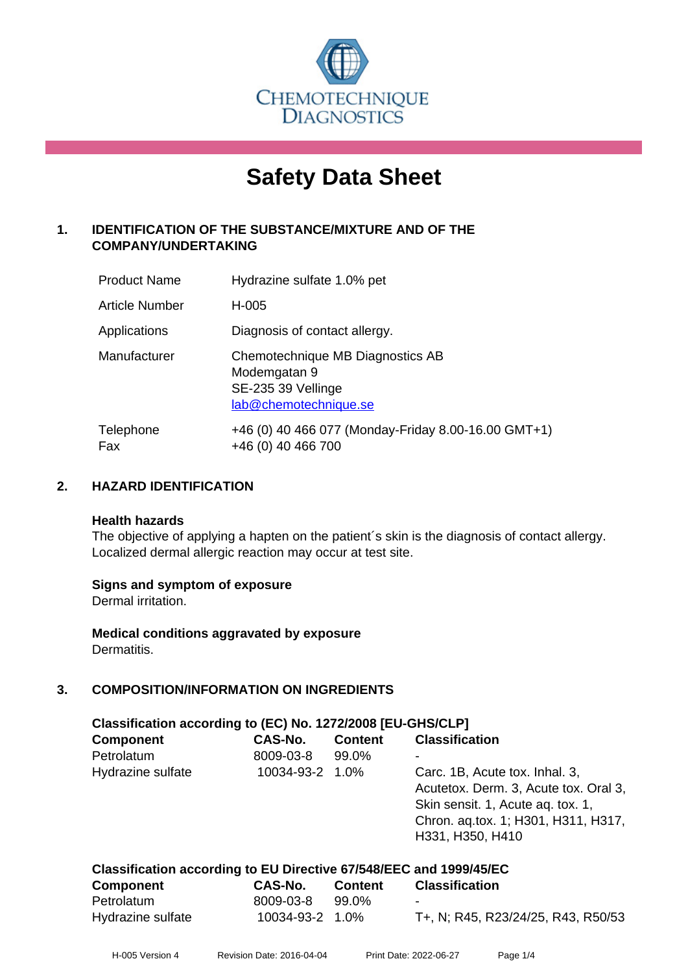

# **Safety Data Sheet**

# **1. IDENTIFICATION OF THE SUBSTANCE/MIXTURE AND OF THE COMPANY/UNDERTAKING**

| <b>Product Name</b> | Hydrazine sulfate 1.0% pet                                                                      |
|---------------------|-------------------------------------------------------------------------------------------------|
| Article Number      | H-005                                                                                           |
| Applications        | Diagnosis of contact allergy.                                                                   |
| Manufacturer        | Chemotechnique MB Diagnostics AB<br>Modemgatan 9<br>SE-235 39 Vellinge<br>lab@chemotechnique.se |
| Telephone<br>Fax    | +46 (0) 40 466 077 (Monday-Friday 8.00-16.00 GMT+1)<br>+46 (0) 40 466 700                       |

# **2. HAZARD IDENTIFICATION**

#### **Health hazards**

The objective of applying a hapten on the patient's skin is the diagnosis of contact allergy. Localized dermal allergic reaction may occur at test site.

# **Signs and symptom of exposure**

Dermal irritation.

**Medical conditions aggravated by exposure** Dermatitis.

# **3. COMPOSITION/INFORMATION ON INGREDIENTS**

| Classification according to (EC) No. 1272/2008 [EU-GHS/CLP] |                 |                |                                                                                                                                                                         |  |  |
|-------------------------------------------------------------|-----------------|----------------|-------------------------------------------------------------------------------------------------------------------------------------------------------------------------|--|--|
| <b>Component</b>                                            | CAS-No.         | <b>Content</b> | <b>Classification</b>                                                                                                                                                   |  |  |
| Petrolatum                                                  | 8009-03-8       | 99.0%          | ۰                                                                                                                                                                       |  |  |
| Hydrazine sulfate                                           | 10034-93-2 1.0% |                | Carc. 1B, Acute tox. Inhal. 3,<br>Acutetox. Derm. 3, Acute tox. Oral 3,<br>Skin sensit. 1, Acute ag. tox. 1,<br>Chron. aq.tox. 1; H301, H311, H317,<br>H331, H350, H410 |  |  |

| Classification according to EU Directive 67/548/EEC and 1999/45/EC |                 |         |                                    |  |  |
|--------------------------------------------------------------------|-----------------|---------|------------------------------------|--|--|
| Component                                                          | CAS-No.         | Content | <b>Classification</b>              |  |  |
| Petrolatum                                                         | 8009-03-8       | 99.0%   | $\overline{\phantom{a}}$           |  |  |
| Hydrazine sulfate                                                  | 10034-93-2 1.0% |         | T+, N; R45, R23/24/25, R43, R50/53 |  |  |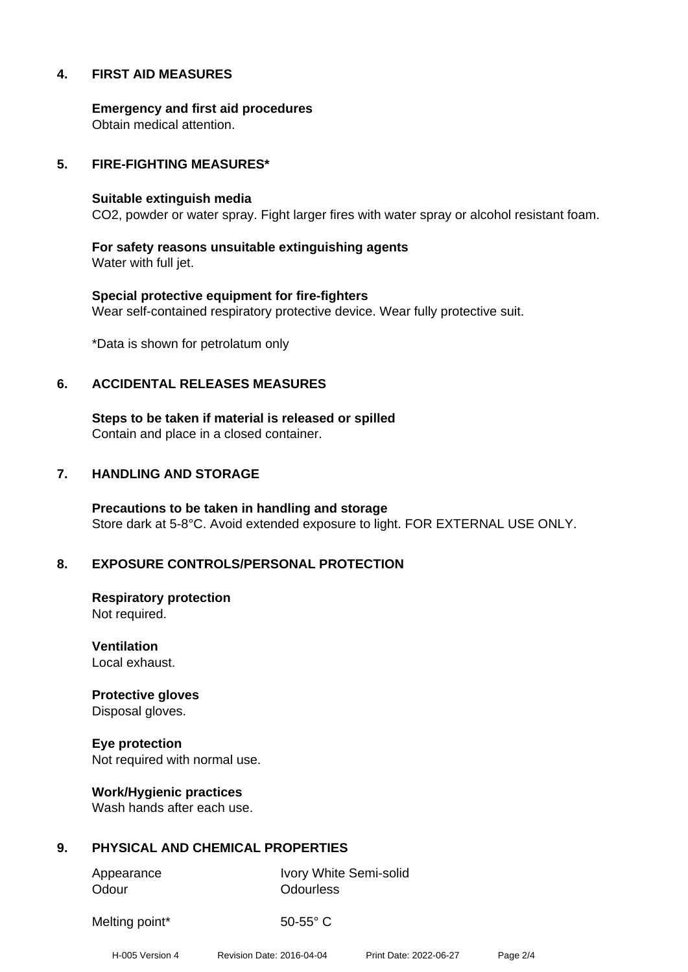# **4. FIRST AID MEASURES**

**Emergency and first aid procedures** Obtain medical attention.

#### **5. FIRE-FIGHTING MEASURES\***

#### **Suitable extinguish media**

CO2, powder or water spray. Fight larger fires with water spray or alcohol resistant foam.

**For safety reasons unsuitable extinguishing agents** Water with full jet.

**Special protective equipment for fire-fighters** Wear self-contained respiratory protective device. Wear fully protective suit.

\*Data is shown for petrolatum only

#### **6. ACCIDENTAL RELEASES MEASURES**

**Steps to be taken if material is released or spilled** Contain and place in a closed container.

#### **7. HANDLING AND STORAGE**

**Precautions to be taken in handling and storage** Store dark at 5-8°C. Avoid extended exposure to light. FOR EXTERNAL USE ONLY.

# **8. EXPOSURE CONTROLS/PERSONAL PROTECTION**

**Respiratory protection** Not required.

**Ventilation** Local exhaust.

**Protective gloves** Disposal gloves.

**Eye protection** Not required with normal use.

**Work/Hygienic practices** Wash hands after each use.

# **9. PHYSICAL AND CHEMICAL PROPERTIES**

Odour **Odourless** 

Appearance Ivory White Semi-solid

Melting point\* 50-55° C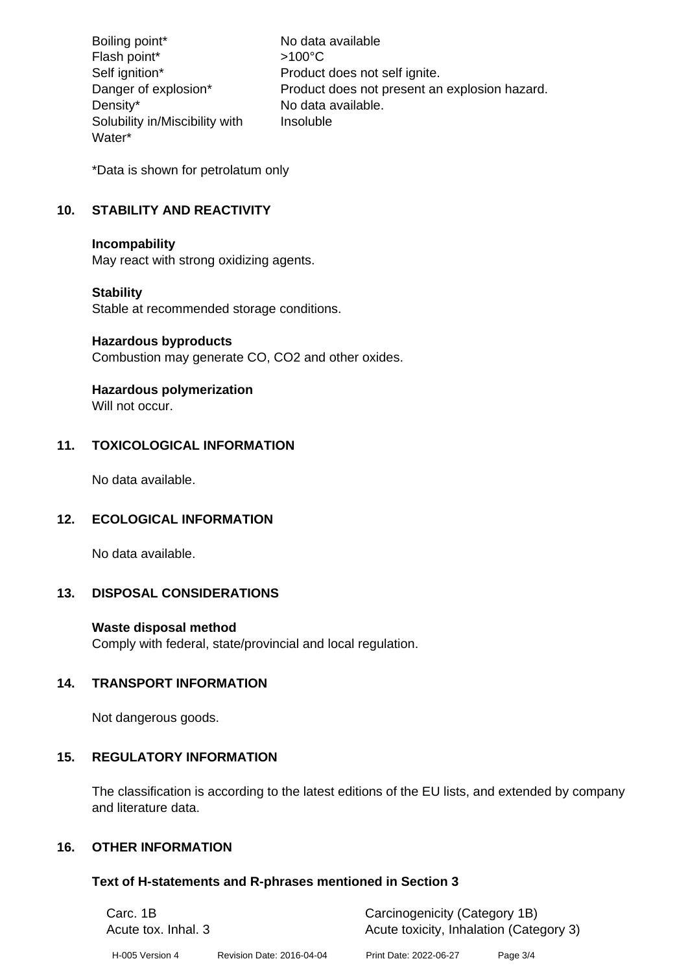Boiling point\* No data available Flash point\*  $>100^{\circ}$ C Self ignition\* Product does not self ignite. Danger of explosion\* Product does not present an explosion hazard. Density\* No data available. Solubility in/Miscibility with Water\* Insoluble

\*Data is shown for petrolatum only

# **10. STABILITY AND REACTIVITY**

#### **Incompability**

May react with strong oxidizing agents.

# **Stability**

Stable at recommended storage conditions.

#### **Hazardous byproducts**

Combustion may generate CO, CO2 and other oxides.

# **Hazardous polymerization**

Will not occur.

# **11. TOXICOLOGICAL INFORMATION**

No data available.

# **12. ECOLOGICAL INFORMATION**

No data available.

# **13. DISPOSAL CONSIDERATIONS**

# **Waste disposal method**

Comply with federal, state/provincial and local regulation.

# **14. TRANSPORT INFORMATION**

Not dangerous goods.

# **15. REGULATORY INFORMATION**

The classification is according to the latest editions of the EU lists, and extended by company and literature data.

# **16. OTHER INFORMATION**

# **Text of H-statements and R-phrases mentioned in Section 3**

| Carc. 1B<br>Acute tox. Inhal. 3 |                           |                        | Carcinogenicity (Category 1B)<br>Acute toxicity, Inhalation (Category 3) |  |
|---------------------------------|---------------------------|------------------------|--------------------------------------------------------------------------|--|
| H-005 Version 4                 | Revision Date: 2016-04-04 | Print Date: 2022-06-27 | Page 3/4                                                                 |  |